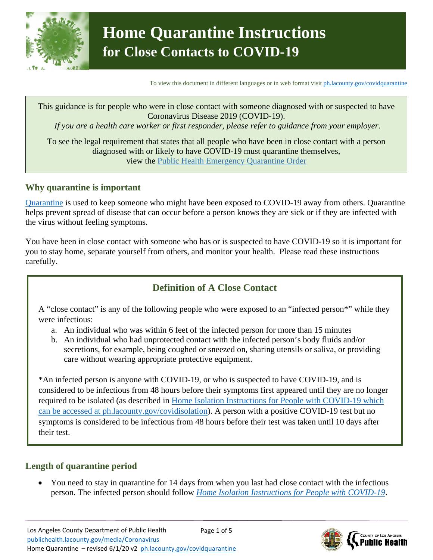

To view this document in different languages or in web format visi[t ph.lacounty.gov/covidquarantine](http://ph.lacounty.gov/covidquarantine)

This guidance is for people who were in close contact with someone diagnosed with or suspected to have Coronavirus Disease 2019 (COVID-19). *If you are a health care worker or first responder*, *please refer to guidance from your employer*. To see the legal requirement that states that all people who have been in close contact with a person diagnosed with or likely to have COVID-19 must quarantine themselves,

view the [Public Health Emergency Quarantine Order](http://publichealth.lacounty.gov/media/Coronavirus/docs/HOO/HOO_Coronavirus_Blanket_Quarantine_05-01-20.pdf)

#### **Why quarantine is important**

[Quarantine](https://www.cdc.gov/coronavirus/2019-ncov/if-you-are-sick/quarantine-isolation.html) is used to keep someone who might have been exposed to COVID-19 away from others. Quarantine helps prevent spread of disease that can occur before a person knows they are sick or if they are infected with the virus without feeling symptoms.

You have been in close contact with someone who has or is suspected to have COVID-19 so it is important for you to stay home, separate yourself from others, and monitor your health. Please read these instructions carefully.

## **Definition of A Close Contact**

<span id="page-0-1"></span>A "close contact" is any of the following people who were exposed to an "infected person\*" while they were infectious:

- a. An individual who was within 6 feet of the infected person for more than 15 minutes
- b. An individual who had unprotected contact with the infected person's body fluids and/or secretions, for example, being coughed or sneezed on, sharing utensils or saliva, or providing care without wearing appropriate protective equipment.

\*An infected person is anyone with COVID-19, or who is suspected to have COVID-19, and is considered to be infectious from 48 hours before their symptoms first appeared until they are no longer required to be isolated (as described in [Home Isolation Instructions for People with COVID-19](http://publichealth.lacounty.gov/acd/ncorona2019/covidisolation/) which can be accessed at [ph.lacounty.gov/covidisolation\)](http://ph.lacounty.gov/covidisolation). A person with a positive COVID-19 test but no symptoms is considered to be infectious from 48 hours before their test was taken until 10 days after their test.

## <span id="page-0-0"></span>**Length of quarantine period**

• You need to stay in quarantine for 14 days from when you last had close contact with the infectious person. The infected person should follow *[Home Isolation Instructions for People with COVID-19](http://ph.lacounty.gov/covidisolation)*.

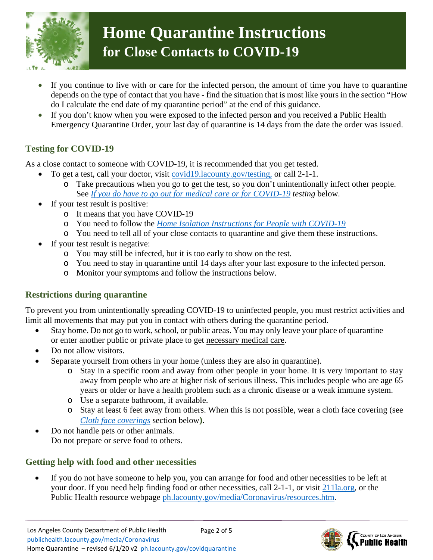

- If you continue to live with or care for the infected person, the amount of time you have to quarantine depends on the type of contact that you have - find the situation that is most like yours in the section "How do I calculate the end date of my quarantine period" at the end of this guidance.
- If you don't know when you were exposed to the infected person and you received a Public Health Emergency Quarantine Order, your last day of quarantine is 14 days from the date the order was issued.

## **Testing for COVID-19**

As a close contact to someone with COVID-19, it is recommended that you get tested.

- To get a test, call your doctor, visit covid19. lacounty.gov/testing, or call 2-1-1.
	- o Take precautions when you go to get the test, so you don't unintentionally infect other people. See *[If you do have to go out for medical care or for COVID-19](#page-2-0) testing* below*.*
	- If your test result is positive:
		- o It means that you have COVID-19
		- o You need to follow the *[Home Isolation Instructions for People with COVID-19](http://publichealth.lacounty.gov/covidisolation)*
		- o You need to tell all of your close contacts to quarantine and give them these instructions.
- If your test result is negative:
	- o You may still be infected, but it is too early to show on the test.
	- o You need to stay in quarantine until 14 days after your last exposure to the infected person.
	- o Monitor your symptoms and follow the instructions below.

## **Restrictions during quarantine**

To prevent you from unintentionally spreading COVID-19 to uninfected people, you must restrict activities and limit all movements that may put you in contact with others during the quarantine period.

- Stay home. Do not go to work, school, or public areas. You may only leave your place of quarantine or enter another public or private place to get necessary medical care.
- Do not allow visitors.
- Separate yourself from others in your home (unless they are also in quarantine).
	- o Stay in a specific room and away from other people in your home. It is very important to stay away from people who are at higher risk of serious illness. This includes people who are age 65 years or older or have a health problem such as a chronic disease or a weak immune system.
	- o Use a separate bathroom, if available.
	- o Stay at least 6 feet away from others. When this is not possible, wear a cloth face covering (see *[Cloth face coverings](#page-2-1)* section below**)**.
- Do not handle pets or other animals. • Do not prepare or serve food to others.

## **Getting help with food and other necessities**

• If you do not have someone to help you, you can arrange for food and other necessities to be left at your door. If you need help finding food or other necessities, call 2-1-1, or visit [211la.org,](https://www.211la.org/) or the Public Health resource webpage [ph.lacounty.gov/media/Coronavirus/resources.htm.](http://ph.lacounty.gov/media/Coronavirus/resources.htm)

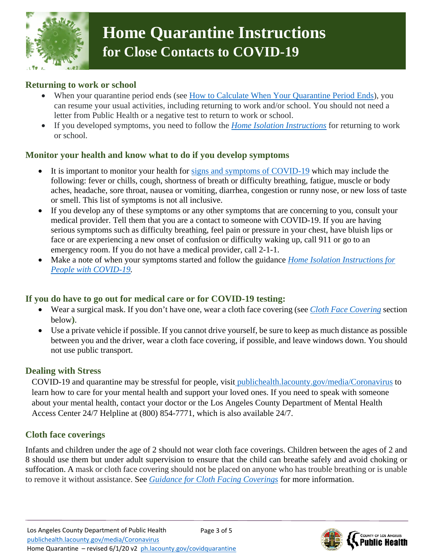

#### **Returning to work or school**

- When your quarantine period ends (see [How to Calculate When Your Quarantine Period Ends\)](#page-2-2), you can resume your usual activities, including returning to work and/or school. You should not need a letter from Public Health or a negative test to return to work or school.
- If you developed symptoms, you need to follow the *[Home Isolation Instructions](http://ph.lacounty.gov/covidisolation)* for returning to work or school.

#### **Monitor your health and know what to do if you develop symptoms**

- It is important to monitor your health for [signs and symptoms of COVID-19](https://www.cdc.gov/coronavirus/2019-ncov/symptoms-testing/symptoms.html) which may include the following: fever or chills, cough, shortness of breath or difficulty breathing, fatigue, muscle or body aches, headache, sore throat, nausea or vomiting, diarrhea, congestion or runny nose, or new loss of taste or smell. This list of symptoms is not all inclusive.
- If you develop any of these symptoms or any other symptoms that are concerning to you, consult your medical provider. Tell them that you are a contact to someone with COVID-19. If you are having serious symptoms such as difficulty breathing, feel pain or pressure in your chest, have bluish lips or face or are experiencing a new onset of confusion or difficulty waking up, call 911 or go to an emergency room. If you do not have a medical provider, call 2-1-1.
- Make a note of when your symptoms started and follow the guidance *[Home Isolation Instructions for](http://ph.lacounty.gov/covidisolation)  [People with COVID-19.](http://ph.lacounty.gov/covidisolation)*

#### <span id="page-2-0"></span>**If you do have to go out for medical care or for COVID-19 testing:**

- Wear a surgical mask. If you don't have one, wear a cloth face covering (see *[Cloth Face Covering](#page-2-1)* section below**)**.
- Use a private vehicle if possible. If you cannot drive yourself, be sure to keep as much distance as possible between you and the driver, wear a cloth face covering, if possible, and leave windows down. You should not use public transport.

#### <span id="page-2-1"></span>**Dealing with Stress**

COVID-19 and quarantine may be stressful for people, visit [publichealth.lacounty.gov/media/Coronavirus](http://publichealth.lacounty.gov/media/Coronavirus/) to learn how to care for your mental health and support your loved ones. If you need to speak with someone about your mental health, contact your doctor or the Los Angeles County Department of Mental Health Access Center 24/7 Helpline at (800) 854-7771, which is also available 24/7.

#### **Cloth face coverings**

<span id="page-2-2"></span>Infants and children under the age of 2 should not wear cloth face coverings. Children between the ages of 2 and 8 should use them but under adult supervision to ensure that the child can breathe safely and avoid choking or suffocation. A mask or cloth face covering should not be placed on anyone who has trouble breathing or is unable to remove it without assistance. See *[Guidance for Cloth Facing Coverings](http://publichealth.lacounty.gov/media/Coronavirus/GuidanceClothFaceCoverings.pdf)* for more information.

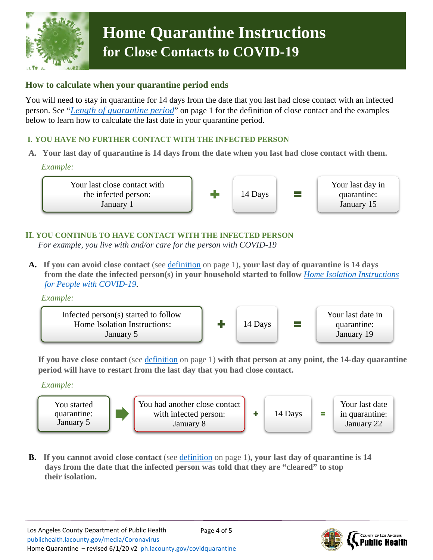

# **Home Quarantine Instructions for Close Contacts to COVID-19**

#### **How to calculate when your quarantine period ends**

You will need to stay in quarantine for 14 days from the date that you last had close contact with an infected person. See "*[Length of quarantine period](#page-0-0)*" on page 1 for the definition of close contact and the examples below to learn how to calculate the last date in your quarantine period.

#### **I. YOU HAVE NO FURTHER CONTACT WITH THE INFECTED PERSON**

**A. Your last day of quarantine is 14 days from the date when you last had close contact with them.**

*Example:*

Your last close contact with the infected person: January 1



Your last day in quarantine: January 15

## **II. YOU CONTINUE TO HAVE CONTACT WITH THE INFECTED PERSON**

*For example, you live with and/or care for the person with COVID-19*

**A. If you can avoid close contact** (see [definition](#page-0-1) on page 1)**, your last day of quarantine is 14 days from the date the infected person(s) in your household started to follow** *[Home Isolation Instructions](http://ph.lacounty.gov/covidisolation)  [for People with COVID-19](http://ph.lacounty.gov/covidisolation)*.

*Example:*



**If you have close contact** (see [definition](#page-0-1) on page 1) **with that person at any point, the 14-day quarantine period will have to restart from the last day that you had close contact.**

*Example:*



**B. If you cannot avoid close contact** (see [definition](#page-0-1) on page 1)**, your last day of quarantine is 14 days from the date that the infected person was told that they are "cleared" to stop their isolation.**